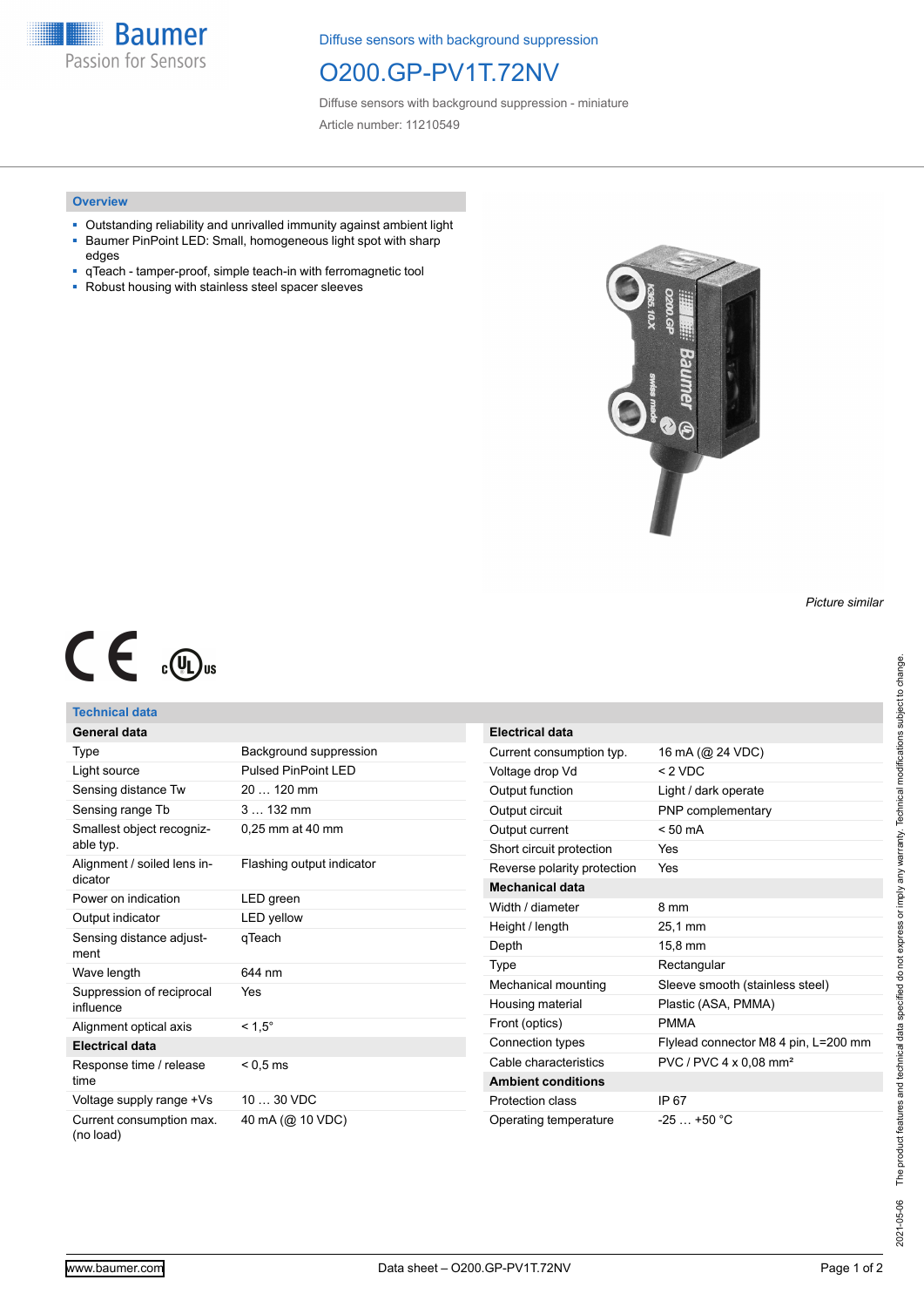**Baumer** Passion for Sensors

Diffuse sensors with background suppression

# O200.GP-PV1T.72NV

Diffuse sensors with background suppression - miniature Article number: 11210549

#### **Overview**

- Outstanding reliability and unrivalled immunity against ambient light
- Baumer PinPoint LED: Small, homogeneous light spot with sharp edges
- qTeach tamper-proof, simple teach-in with ferromagnetic tool<br>■ Robust housing with stainless steel spacer sleeves
- Robust housing with stainless steel spacer sleeves



*Picture similar*

# $C \in \mathbb{C}$

#### **Technical data General data**

|                          | General data |  |
|--------------------------|--------------|--|
| $\overline{\phantom{a}}$ |              |  |

| Type                                   | Background suppression     |
|----------------------------------------|----------------------------|
| Light source                           | <b>Pulsed PinPoint LED</b> |
| Sensing distance Tw                    | $20120$ mm                 |
| Sensing range Tb                       | $3132$ mm                  |
| Smallest object recogniz-<br>able typ. | 0,25 mm at 40 mm           |
| Alignment / soiled lens in-<br>dicator | Flashing output indicator  |
| Power on indication                    | LED green                  |
| Output indicator                       | LED yellow                 |
| Sensing distance adjust-<br>ment       | qTeach                     |
| Wave length                            | 644 nm                     |
| Suppression of reciprocal<br>influence | Yes                        |
| Alignment optical axis                 | $< 1.5^{\circ}$            |
| <b>Electrical data</b>                 |                            |
| Response time / release<br>time        | $<$ 0.5 ms                 |
| Voltage supply range +Vs               | 10  30 VDC                 |
| Current consumption max.<br>(no load)  | 40 mA (@ 10 VDC)           |

| <b>Electrical data</b>      |                                      |
|-----------------------------|--------------------------------------|
| Current consumption typ.    | 16 mA (@ 24 VDC)                     |
| Voltage drop Vd             | < 2 VDC                              |
| Output function             | Light / dark operate                 |
| Output circuit              | PNP complementary                    |
| Output current              | $< 50 \text{ mA}$                    |
| Short circuit protection    | Yes                                  |
| Reverse polarity protection | Yes                                  |
| <b>Mechanical data</b>      |                                      |
| Width / diameter            | 8 mm                                 |
| Height / length             | 25,1 mm                              |
| Depth                       | 15.8 mm                              |
| Type                        | Rectangular                          |
| Mechanical mounting         | Sleeve smooth (stainless steel)      |
| Housing material            | Plastic (ASA, PMMA)                  |
| Front (optics)              | <b>PMMA</b>                          |
| Connection types            | Flylead connector M8 4 pin, L=200 mm |
| Cable characteristics       | PVC / PVC 4 x 0,08 mm <sup>2</sup>   |
| <b>Ambient conditions</b>   |                                      |
| Protection class            | IP 67                                |
| Operating temperature       | $-25+50 °C$                          |